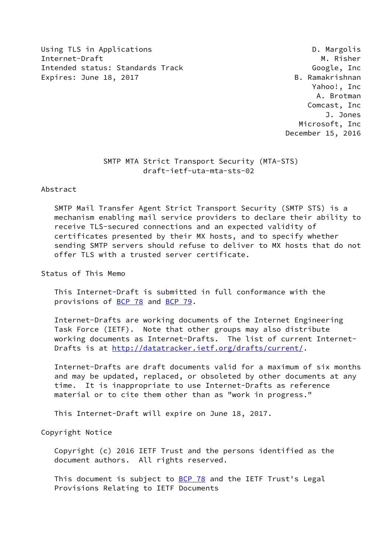Using TLS in Applications **D. Margolis** D. Margolis Internet-Draft M. Risher Intended status: Standards Track Google, Inc Expires: June 18, 2017 **B.** Ramakrishnan

 Yahoo!, Inc A. Brotman Comcast, Inc J. Jones Microsoft, Inc December 15, 2016

## SMTP MTA Strict Transport Security (MTA-STS) draft-ietf-uta-mta-sts-02

### Abstract

 SMTP Mail Transfer Agent Strict Transport Security (SMTP STS) is a mechanism enabling mail service providers to declare their ability to receive TLS-secured connections and an expected validity of certificates presented by their MX hosts, and to specify whether sending SMTP servers should refuse to deliver to MX hosts that do not offer TLS with a trusted server certificate.

Status of This Memo

 This Internet-Draft is submitted in full conformance with the provisions of [BCP 78](https://datatracker.ietf.org/doc/pdf/bcp78) and [BCP 79](https://datatracker.ietf.org/doc/pdf/bcp79).

 Internet-Drafts are working documents of the Internet Engineering Task Force (IETF). Note that other groups may also distribute working documents as Internet-Drafts. The list of current Internet- Drafts is at<http://datatracker.ietf.org/drafts/current/>.

 Internet-Drafts are draft documents valid for a maximum of six months and may be updated, replaced, or obsoleted by other documents at any time. It is inappropriate to use Internet-Drafts as reference material or to cite them other than as "work in progress."

This Internet-Draft will expire on June 18, 2017.

Copyright Notice

 Copyright (c) 2016 IETF Trust and the persons identified as the document authors. All rights reserved.

This document is subject to **[BCP 78](https://datatracker.ietf.org/doc/pdf/bcp78)** and the IETF Trust's Legal Provisions Relating to IETF Documents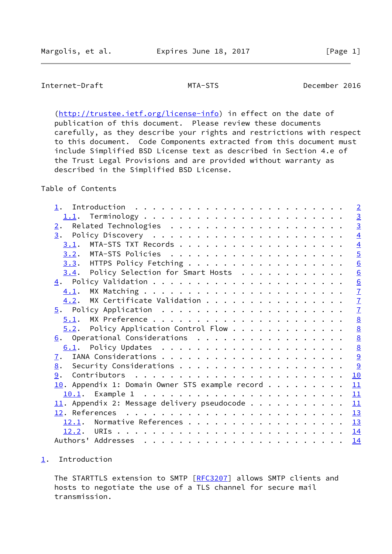# <span id="page-1-1"></span>Internet-Draft MTA-STS December 2016

[\(http://trustee.ietf.org/license-info](http://trustee.ietf.org/license-info)) in effect on the date of publication of this document. Please review these documents carefully, as they describe your rights and restrictions with respect to this document. Code Components extracted from this document must include Simplified BSD License text as described in Section 4.e of the Trust Legal Provisions and are provided without warranty as described in the Simplified BSD License.

## Table of Contents

|                                                    | $\overline{2}$  |
|----------------------------------------------------|-----------------|
|                                                    |                 |
| 2.                                                 | $\frac{3}{4}$   |
|                                                    |                 |
| 3.1.                                               | $\overline{4}$  |
|                                                    | $\overline{5}$  |
|                                                    | 6               |
| $3.4$ . Policy Selection for Smart Hosts           | 6               |
|                                                    |                 |
| 4.1.                                               | $\frac{6}{7}$   |
| MX Certificate Validation<br>4.2.                  | $\overline{1}$  |
|                                                    | $\overline{1}$  |
|                                                    | $\underline{8}$ |
| $5.2$ . Policy Application Control Flow            | $\underline{8}$ |
| 6. Operational Considerations                      | $\underline{8}$ |
| 6.1.                                               | $\underline{8}$ |
| 7.                                                 | 9               |
| 8.                                                 |                 |
| 9.                                                 | 10              |
| $10$ . Appendix 1: Domain Owner STS example record | 11              |
|                                                    |                 |
| $11.$ Appendix 2: Message delivery pseudocode      | $\frac{11}{1}$  |
|                                                    |                 |
| 12.1. Normative References 13                      |                 |
|                                                    | 14              |
|                                                    | 14              |
|                                                    |                 |

## <span id="page-1-0"></span>[1](#page-1-0). Introduction

The STARTTLS extension to SMTP [\[RFC3207](https://datatracker.ietf.org/doc/pdf/rfc3207)] allows SMTP clients and hosts to negotiate the use of a TLS channel for secure mail transmission.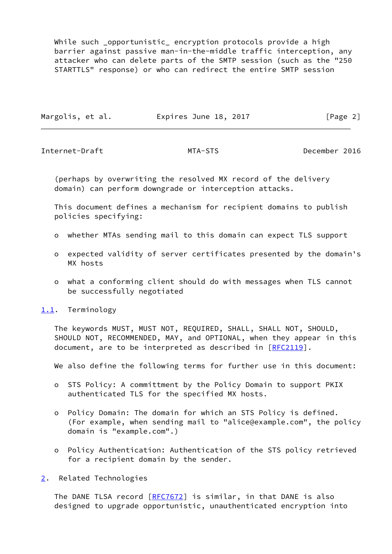While such \_opportunistic\_ encryption protocols provide a high barrier against passive man-in-the-middle traffic interception, any attacker who can delete parts of the SMTP session (such as the "250 STARTTLS" response) or who can redirect the entire SMTP session

| Margolis, et al. | Expires June 18, 2017 | [Page 2] |
|------------------|-----------------------|----------|
|                  |                       |          |

<span id="page-2-1"></span>Internet-Draft MTA-STS December 2016

 (perhaps by overwriting the resolved MX record of the delivery domain) can perform downgrade or interception attacks.

 This document defines a mechanism for recipient domains to publish policies specifying:

- o whether MTAs sending mail to this domain can expect TLS support
- o expected validity of server certificates presented by the domain's MX hosts
- o what a conforming client should do with messages when TLS cannot be successfully negotiated

<span id="page-2-0"></span>[1.1](#page-2-0). Terminology

 The keywords MUST, MUST NOT, REQUIRED, SHALL, SHALL NOT, SHOULD, SHOULD NOT, RECOMMENDED, MAY, and OPTIONAL, when they appear in this document, are to be interpreted as described in [\[RFC2119](https://datatracker.ietf.org/doc/pdf/rfc2119)].

We also define the following terms for further use in this document:

- o STS Policy: A committment by the Policy Domain to support PKIX authenticated TLS for the specified MX hosts.
- o Policy Domain: The domain for which an STS Policy is defined. (For example, when sending mail to "alice@example.com", the policy domain is "example.com".)
- o Policy Authentication: Authentication of the STS policy retrieved for a recipient domain by the sender.
- <span id="page-2-2"></span>[2](#page-2-2). Related Technologies

The DANE TLSA record [\[RFC7672](https://datatracker.ietf.org/doc/pdf/rfc7672)] is similar, in that DANE is also designed to upgrade opportunistic, unauthenticated encryption into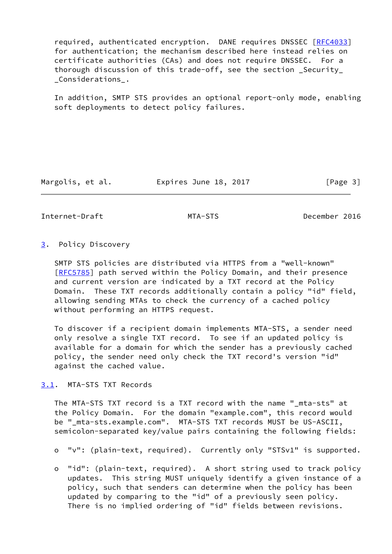required, authenticated encryption. DANE requires DNSSEC [[RFC4033](https://datatracker.ietf.org/doc/pdf/rfc4033)] for authentication; the mechanism described here instead relies on certificate authorities (CAs) and does not require DNSSEC. For a thorough discussion of this trade-off, see the section \_Security\_ \_Considerations\_.

 In addition, SMTP STS provides an optional report-only mode, enabling soft deployments to detect policy failures.

Margolis, et al. Expires June 18, 2017 [Page 3]

<span id="page-3-1"></span>Internet-Draft MTA-STS December 2016

### <span id="page-3-0"></span>[3](#page-3-0). Policy Discovery

 SMTP STS policies are distributed via HTTPS from a "well-known" [\[RFC5785](https://datatracker.ietf.org/doc/pdf/rfc5785)] path served within the Policy Domain, and their presence and current version are indicated by a TXT record at the Policy Domain. These TXT records additionally contain a policy "id" field, allowing sending MTAs to check the currency of a cached policy without performing an HTTPS request.

 To discover if a recipient domain implements MTA-STS, a sender need only resolve a single TXT record. To see if an updated policy is available for a domain for which the sender has a previously cached policy, the sender need only check the TXT record's version "id" against the cached value.

<span id="page-3-2"></span>[3.1](#page-3-2). MTA-STS TXT Records

 The MTA-STS TXT record is a TXT record with the name "\_mta-sts" at the Policy Domain. For the domain "example.com", this record would be "\_mta-sts.example.com". MTA-STS TXT records MUST be US-ASCII, semicolon-separated key/value pairs containing the following fields:

- o "v": (plain-text, required). Currently only "STSv1" is supported.
- o "id": (plain-text, required). A short string used to track policy updates. This string MUST uniquely identify a given instance of a policy, such that senders can determine when the policy has been updated by comparing to the "id" of a previously seen policy. There is no implied ordering of "id" fields between revisions.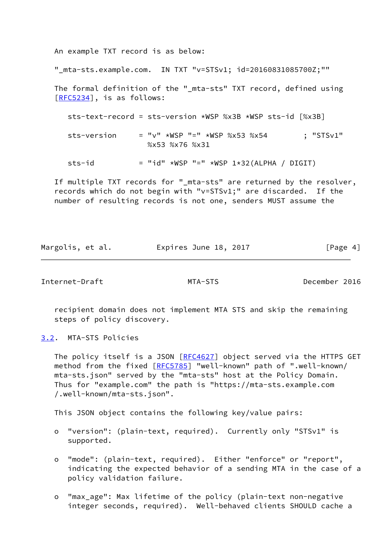An example TXT record is as below:

"\_mta-sts.example.com. IN TXT "v=STSv1; id=20160831085700Z;""

The formal definition of the " mta-sts" TXT record, defined using [\[RFC5234](https://datatracker.ietf.org/doc/pdf/rfc5234)], is as follows:

sts-text-record = sts-version \*WSP %x3B \*WSP sts-id [%x3B]

sts-version = "v" \*WSP "=" \*WSP %x53 %x54 ; "STSv1" %x53 %x76 %x31

sts-id  $=$  "id" \*WSP "=" \*WSP 1\*32(ALPHA / DIGIT)

 If multiple TXT records for "\_mta-sts" are returned by the resolver, records which do not begin with "v=STSv1;" are discarded. If the number of resulting records is not one, senders MUST assume the

Margolis, et al. **Expires June 18, 2017** [Page 4]

<span id="page-4-1"></span>Internet-Draft MTA-STS December 2016

 recipient domain does not implement MTA STS and skip the remaining steps of policy discovery.

<span id="page-4-0"></span>[3.2](#page-4-0). MTA-STS Policies

The policy itself is a JSON [\[RFC4627](https://datatracker.ietf.org/doc/pdf/rfc4627)] object served via the HTTPS GET method from the fixed [[RFC5785](https://datatracker.ietf.org/doc/pdf/rfc5785)] "well-known" path of ".well-known/ mta-sts.json" served by the "mta-sts" host at the Policy Domain. Thus for "example.com" the path is "https://mta-sts.example.com /.well-known/mta-sts.json".

This JSON object contains the following key/value pairs:

- o "version": (plain-text, required). Currently only "STSv1" is supported.
- o "mode": (plain-text, required). Either "enforce" or "report", indicating the expected behavior of a sending MTA in the case of a policy validation failure.
- o "max\_age": Max lifetime of the policy (plain-text non-negative integer seconds, required). Well-behaved clients SHOULD cache a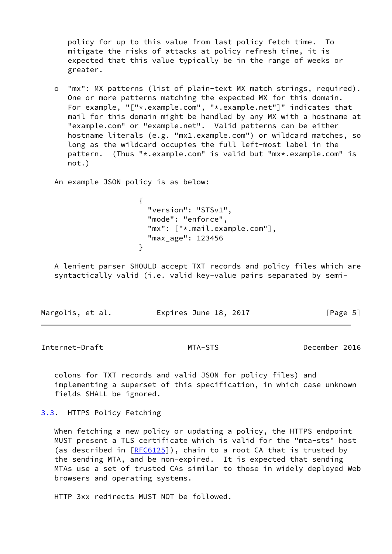policy for up to this value from last policy fetch time. To mitigate the risks of attacks at policy refresh time, it is expected that this value typically be in the range of weeks or greater.

 o "mx": MX patterns (list of plain-text MX match strings, required). One or more patterns matching the expected MX for this domain. For example, "["\*.example.com", "\*.example.net"]" indicates that mail for this domain might be handled by any MX with a hostname at "example.com" or "example.net". Valid patterns can be either hostname literals (e.g. "mx1.example.com") or wildcard matches, so long as the wildcard occupies the full left-most label in the pattern. (Thus "\*.example.com" is valid but "mx\*.example.com" is not.)

An example JSON policy is as below:

 $\{$  "version": "STSv1", "mode": "enforce", "mx":  $\lceil$ "\*.mail.example.com"], "max\_age": 123456 }

 A lenient parser SHOULD accept TXT records and policy files which are syntactically valid (i.e. valid key-value pairs separated by semi-

| Margolis, et al. | Expires June 18, 2017 |  |  |  | [Page 5] |  |
|------------------|-----------------------|--|--|--|----------|--|
|------------------|-----------------------|--|--|--|----------|--|

<span id="page-5-1"></span>Internet-Draft MTA-STS December 2016

 colons for TXT records and valid JSON for policy files) and implementing a superset of this specification, in which case unknown fields SHALL be ignored.

<span id="page-5-0"></span>[3.3](#page-5-0). HTTPS Policy Fetching

 When fetching a new policy or updating a policy, the HTTPS endpoint MUST present a TLS certificate which is valid for the "mta-sts" host (as described in  $[REG125]$ ), chain to a root CA that is trusted by the sending MTA, and be non-expired. It is expected that sending MTAs use a set of trusted CAs similar to those in widely deployed Web browsers and operating systems.

HTTP 3xx redirects MUST NOT be followed.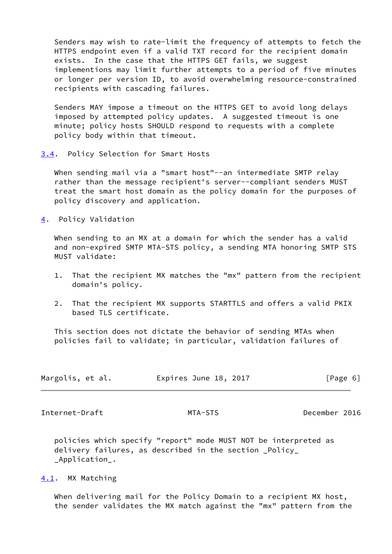Senders may wish to rate-limit the frequency of attempts to fetch the HTTPS endpoint even if a valid TXT record for the recipient domain exists. In the case that the HTTPS GET fails, we suggest implementions may limit further attempts to a period of five minutes or longer per version ID, to avoid overwhelming resource-constrained recipients with cascading failures.

 Senders MAY impose a timeout on the HTTPS GET to avoid long delays imposed by attempted policy updates. A suggested timeout is one minute; policy hosts SHOULD respond to requests with a complete policy body within that timeout.

<span id="page-6-0"></span>[3.4](#page-6-0). Policy Selection for Smart Hosts

 When sending mail via a "smart host"--an intermediate SMTP relay rather than the message recipient's server--compliant senders MUST treat the smart host domain as the policy domain for the purposes of policy discovery and application.

<span id="page-6-1"></span>[4](#page-6-1). Policy Validation

When sending to an MX at a domain for which the sender has a valid and non-expired SMTP MTA-STS policy, a sending MTA honoring SMTP STS MUST validate:

- 1. That the recipient MX matches the "mx" pattern from the recipient domain's policy.
- 2. That the recipient MX supports STARTTLS and offers a valid PKIX based TLS certificate.

 This section does not dictate the behavior of sending MTAs when policies fail to validate; in particular, validation failures of

| Margolis, et al. | Expires June 18, 2017 | [Page 6] |
|------------------|-----------------------|----------|
|------------------|-----------------------|----------|

<span id="page-6-3"></span>Internet-Draft MTA-STS December 2016

 policies which specify "report" mode MUST NOT be interpreted as delivery failures, as described in the section \_Policy\_ \_Application\_.

<span id="page-6-2"></span>[4.1](#page-6-2). MX Matching

When delivering mail for the Policy Domain to a recipient MX host, the sender validates the MX match against the "mx" pattern from the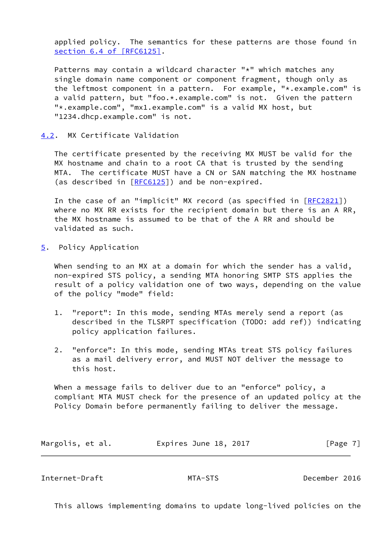applied policy. The semantics for these patterns are those found in section [6.4 of \[RFC6125\]](https://datatracker.ietf.org/doc/pdf/rfc6125#section-6.4).

Patterns may contain a wildcard character "\*" which matches any single domain name component or component fragment, though only as the leftmost component in a pattern. For example, "\*.example.com" is a valid pattern, but "foo.\*.example.com" is not. Given the pattern "\*.example.com", "mx1.example.com" is a valid MX host, but "1234.dhcp.example.com" is not.

## <span id="page-7-0"></span>[4.2](#page-7-0). MX Certificate Validation

 The certificate presented by the receiving MX MUST be valid for the MX hostname and chain to a root CA that is trusted by the sending MTA. The certificate MUST have a CN or SAN matching the MX hostname (as described in [\[RFC6125](https://datatracker.ietf.org/doc/pdf/rfc6125)]) and be non-expired.

 In the case of an "implicit" MX record (as specified in [\[RFC2821](https://datatracker.ietf.org/doc/pdf/rfc2821)]) where no MX RR exists for the recipient domain but there is an A RR, the MX hostname is assumed to be that of the A RR and should be validated as such.

<span id="page-7-1"></span>[5](#page-7-1). Policy Application

When sending to an MX at a domain for which the sender has a valid, non-expired STS policy, a sending MTA honoring SMTP STS applies the result of a policy validation one of two ways, depending on the value of the policy "mode" field:

- 1. "report": In this mode, sending MTAs merely send a report (as described in the TLSRPT specification (TODO: add ref)) indicating policy application failures.
- 2. "enforce": In this mode, sending MTAs treat STS policy failures as a mail delivery error, and MUST NOT deliver the message to this host.

 When a message fails to deliver due to an "enforce" policy, a compliant MTA MUST check for the presence of an updated policy at the Policy Domain before permanently failing to deliver the message.

| Margolis, et al. | Expires June 18, 2017 | [Page 7] |
|------------------|-----------------------|----------|
|------------------|-----------------------|----------|

<span id="page-7-2"></span>Internet-Draft MTA-STS December 2016

This allows implementing domains to update long-lived policies on the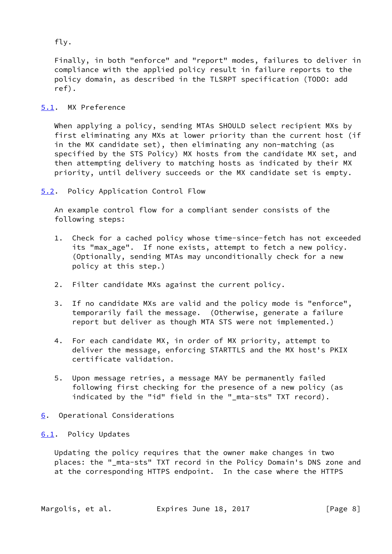fly.

 Finally, in both "enforce" and "report" modes, failures to deliver in compliance with the applied policy result in failure reports to the policy domain, as described in the TLSRPT specification (TODO: add ref).

## <span id="page-8-0"></span>[5.1](#page-8-0). MX Preference

 When applying a policy, sending MTAs SHOULD select recipient MXs by first eliminating any MXs at lower priority than the current host (if in the MX candidate set), then eliminating any non-matching (as specified by the STS Policy) MX hosts from the candidate MX set, and then attempting delivery to matching hosts as indicated by their MX priority, until delivery succeeds or the MX candidate set is empty.

<span id="page-8-1"></span>[5.2](#page-8-1). Policy Application Control Flow

 An example control flow for a compliant sender consists of the following steps:

- 1. Check for a cached policy whose time-since-fetch has not exceeded its "max\_age". If none exists, attempt to fetch a new policy. (Optionally, sending MTAs may unconditionally check for a new policy at this step.)
- 2. Filter candidate MXs against the current policy.
- 3. If no candidate MXs are valid and the policy mode is "enforce", temporarily fail the message. (Otherwise, generate a failure report but deliver as though MTA STS were not implemented.)
- 4. For each candidate MX, in order of MX priority, attempt to deliver the message, enforcing STARTTLS and the MX host's PKIX certificate validation.
- 5. Upon message retries, a message MAY be permanently failed following first checking for the presence of a new policy (as indicated by the "id" field in the "\_mta-sts" TXT record).

## <span id="page-8-2"></span>[6](#page-8-2). Operational Considerations

## <span id="page-8-3"></span>[6.1](#page-8-3). Policy Updates

 Updating the policy requires that the owner make changes in two places: the "\_mta-sts" TXT record in the Policy Domain's DNS zone and at the corresponding HTTPS endpoint. In the case where the HTTPS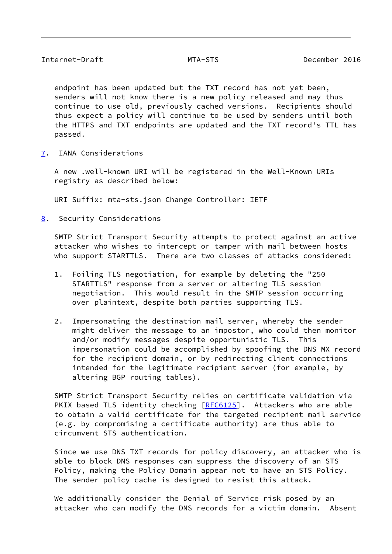<span id="page-9-1"></span> endpoint has been updated but the TXT record has not yet been, senders will not know there is a new policy released and may thus continue to use old, previously cached versions. Recipients should thus expect a policy will continue to be used by senders until both the HTTPS and TXT endpoints are updated and the TXT record's TTL has passed.

<span id="page-9-0"></span>[7](#page-9-0). IANA Considerations

 A new .well-known URI will be registered in the Well-Known URIs registry as described below:

URI Suffix: mta-sts.json Change Controller: IETF

<span id="page-9-2"></span>[8](#page-9-2). Security Considerations

 SMTP Strict Transport Security attempts to protect against an active attacker who wishes to intercept or tamper with mail between hosts who support STARTTLS. There are two classes of attacks considered:

- 1. Foiling TLS negotiation, for example by deleting the "250 STARTTLS" response from a server or altering TLS session negotiation. This would result in the SMTP session occurring over plaintext, despite both parties supporting TLS.
- 2. Impersonating the destination mail server, whereby the sender might deliver the message to an impostor, who could then monitor and/or modify messages despite opportunistic TLS. This impersonation could be accomplished by spoofing the DNS MX record for the recipient domain, or by redirecting client connections intended for the legitimate recipient server (for example, by altering BGP routing tables).

 SMTP Strict Transport Security relies on certificate validation via PKIX based TLS identity checking [\[RFC6125](https://datatracker.ietf.org/doc/pdf/rfc6125)]. Attackers who are able to obtain a valid certificate for the targeted recipient mail service (e.g. by compromising a certificate authority) are thus able to circumvent STS authentication.

 Since we use DNS TXT records for policy discovery, an attacker who is able to block DNS responses can suppress the discovery of an STS Policy, making the Policy Domain appear not to have an STS Policy. The sender policy cache is designed to resist this attack.

 We additionally consider the Denial of Service risk posed by an attacker who can modify the DNS records for a victim domain. Absent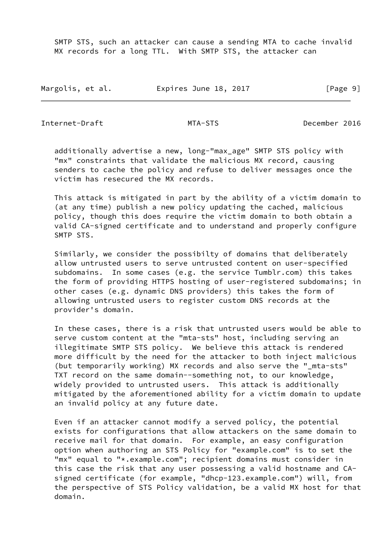SMTP STS, such an attacker can cause a sending MTA to cache invalid MX records for a long TTL. With SMTP STS, the attacker can

| Margolis, et al. | Expires June 18, 2017 | [Page 9] |
|------------------|-----------------------|----------|
|------------------|-----------------------|----------|

<span id="page-10-0"></span>Internet-Draft MTA-STS December 2016

 additionally advertise a new, long-"max\_age" SMTP STS policy with "mx" constraints that validate the malicious MX record, causing senders to cache the policy and refuse to deliver messages once the victim has resecured the MX records.

 This attack is mitigated in part by the ability of a victim domain to (at any time) publish a new policy updating the cached, malicious policy, though this does require the victim domain to both obtain a valid CA-signed certificate and to understand and properly configure SMTP STS.

 Similarly, we consider the possibilty of domains that deliberately allow untrusted users to serve untrusted content on user-specified subdomains. In some cases (e.g. the service Tumblr.com) this takes the form of providing HTTPS hosting of user-registered subdomains; in other cases (e.g. dynamic DNS providers) this takes the form of allowing untrusted users to register custom DNS records at the provider's domain.

 In these cases, there is a risk that untrusted users would be able to serve custom content at the "mta-sts" host, including serving an illegitimate SMTP STS policy. We believe this attack is rendered more difficult by the need for the attacker to both inject malicious (but temporarily working) MX records and also serve the "\_mta-sts" TXT record on the same domain--something not, to our knowledge, widely provided to untrusted users. This attack is additionally mitigated by the aforementioned ability for a victim domain to update an invalid policy at any future date.

 Even if an attacker cannot modify a served policy, the potential exists for configurations that allow attackers on the same domain to receive mail for that domain. For example, an easy configuration option when authoring an STS Policy for "example.com" is to set the "mx" equal to "\*.example.com"; recipient domains must consider in this case the risk that any user possessing a valid hostname and CA signed certificate (for example, "dhcp-123.example.com") will, from the perspective of STS Policy validation, be a valid MX host for that domain.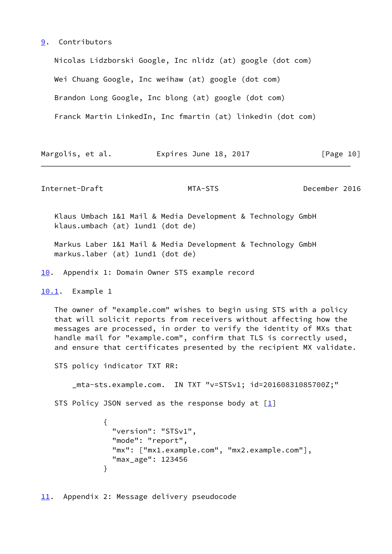#### <span id="page-11-0"></span>[9](#page-11-0). Contributors

 Nicolas Lidzborski Google, Inc nlidz (at) google (dot com) Wei Chuang Google, Inc weihaw (at) google (dot com) Brandon Long Google, Inc blong (at) google (dot com) Franck Martin LinkedIn, Inc fmartin (at) linkedin (dot com)

| Margolis, et al. |  | Expires June 18, 2017 | [Page 10] |  |
|------------------|--|-----------------------|-----------|--|
|                  |  |                       |           |  |

<span id="page-11-2"></span>Internet-Draft MTA-STS December 2016

 Klaus Umbach 1&1 Mail & Media Development & Technology GmbH klaus.umbach (at) 1und1 (dot de)

 Markus Laber 1&1 Mail & Media Development & Technology GmbH markus.laber (at) 1und1 (dot de)

<span id="page-11-1"></span>[10.](#page-11-1) Appendix 1: Domain Owner STS example record

<span id="page-11-3"></span>[10.1](#page-11-3). Example 1

 The owner of "example.com" wishes to begin using STS with a policy that will solicit reports from receivers without affecting how the messages are processed, in order to verify the identity of MXs that handle mail for "example.com", confirm that TLS is correctly used, and ensure that certificates presented by the recipient MX validate.

STS policy indicator TXT RR:

\_mta-sts.example.com. IN TXT "v=STSv1; id=20160831085700Z;"

STS Policy JSON served as the response body at  $[1]$  $[1]$ 

```
\{ "version": "STSv1",
              "mode": "report",
              "mx": ["mx1.example.com", "mx2.example.com"],
              "max_age": 123456
 }
```
<span id="page-11-4"></span>[11.](#page-11-4) Appendix 2: Message delivery pseudocode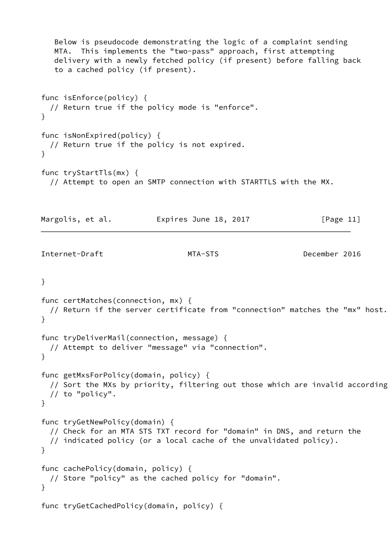```
 Below is pseudocode demonstrating the logic of a complaint sending
   MTA. This implements the "two-pass" approach, first attempting
   delivery with a newly fetched policy (if present) before falling back
   to a cached policy (if present).
func isEnforce(policy) {
  // Return true if the policy mode is "enforce".
}
func isNonExpired(policy) {
  // Return true if the policy is not expired.
}
func tryStartTls(mx) {
  // Attempt to open an SMTP connection with STARTTLS with the MX.
Margolis, et al. 
Expires June 18, 2017 [Page 11]
Internet-Draft MTA-STS December 2016
}
func certMatches(connection, mx) {
  // Return if the server certificate from "connection" matches the "mx" host.
}
func tryDeliverMail(connection, message) {
  // Attempt to deliver "message" via "connection".
}
func getMxsForPolicy(domain, policy) {
  // Sort the MXs by priority, filtering out those which are invalid according
  // to "policy".
}
func tryGetNewPolicy(domain) {
  // Check for an MTA STS TXT record for "domain" in DNS, and return the
  // indicated policy (or a local cache of the unvalidated policy).
}
func cachePolicy(domain, policy) {
  // Store "policy" as the cached policy for "domain".
}
func tryGetCachedPolicy(domain, policy) {
```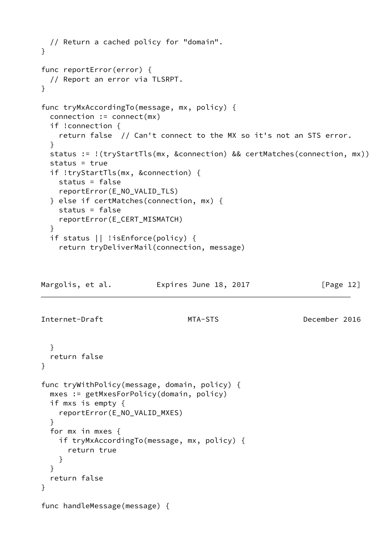```
 // Return a cached policy for "domain".
}
func reportError(error) {
  // Report an error via TLSRPT.
}
func tryMxAccordingTo(message, mx, policy) {
   connection := connect(mx)
   if !connection {
     return false // Can't connect to the MX so it's not an STS error.
   }
   status := !(tryStartTls(mx, &connection) && certMatches(connection, mx))
   status = true
   if !tryStartTls(mx, &connection) {
     status = false
     reportError(E_NO_VALID_TLS)
   } else if certMatches(connection, mx) {
     status = false
     reportError(E_CERT_MISMATCH)
   }
   if status || !isEnforce(policy) {
     return tryDeliverMail(connection, message)
Margolis, et al.             Expires June 18, 2017               [Page 12]
Internet-Draft MTA-STS December 2016
   }
   return false
}
func tryWithPolicy(message, domain, policy) {
   mxes := getMxesForPolicy(domain, policy)
   if mxs is empty {
     reportError(E_NO_VALID_MXES)
   }
   for mx in mxes {
     if tryMxAccordingTo(message, mx, policy) {
       return true
     }
   }
   return false
}
func handleMessage(message) {
```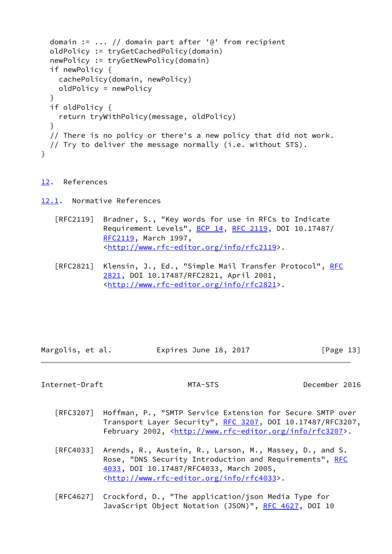```
 domain := ... // domain part after '@' from recipient
  oldPolicy := tryGetCachedPolicy(domain)
  newPolicy := tryGetNewPolicy(domain)
  if newPolicy {
     cachePolicy(domain, newPolicy)
     oldPolicy = newPolicy
  }
  if oldPolicy {
    return tryWithPolicy(message, oldPolicy)
  }
   // There is no policy or there's a new policy that did not work.
  // Try to deliver the message normally (i.e. without STS).
}
```

```
12. References
```
<span id="page-14-1"></span>[12.1](#page-14-1). Normative References

- [RFC2119] Bradner, S., "Key words for use in RFCs to Indicate Requirement Levels", [BCP 14](https://datatracker.ietf.org/doc/pdf/bcp14), [RFC 2119](https://datatracker.ietf.org/doc/pdf/rfc2119), DOI 10.17487/ [RFC2119](https://datatracker.ietf.org/doc/pdf/rfc2119), March 1997, <<http://www.rfc-editor.org/info/rfc2119>>.
- [RFC2821] Klensin, J., Ed., "Simple Mail Transfer Protocol", [RFC](https://datatracker.ietf.org/doc/pdf/rfc2821) [2821,](https://datatracker.ietf.org/doc/pdf/rfc2821) DOI 10.17487/RFC2821, April 2001, <<http://www.rfc-editor.org/info/rfc2821>>.

Margolis, et al. **Expires June 18, 2017** [Page 13]

<span id="page-14-2"></span>Internet-Draft MTA-STS December 2016

- [RFC3207] Hoffman, P., "SMTP Service Extension for Secure SMTP over Transport Layer Security", [RFC 3207](https://datatracker.ietf.org/doc/pdf/rfc3207), DOI 10.17487/RFC3207, February 2002, <<http://www.rfc-editor.org/info/rfc3207>>.
- [RFC4033] Arends, R., Austein, R., Larson, M., Massey, D., and S. Rose, "DNS Security Introduction and Requirements", [RFC](https://datatracker.ietf.org/doc/pdf/rfc4033) [4033,](https://datatracker.ietf.org/doc/pdf/rfc4033) DOI 10.17487/RFC4033, March 2005, <<http://www.rfc-editor.org/info/rfc4033>>.
- [RFC4627] Crockford, D., "The application/json Media Type for JavaScript Object Notation (JSON)", [RFC 4627,](https://datatracker.ietf.org/doc/pdf/rfc4627) DOI 10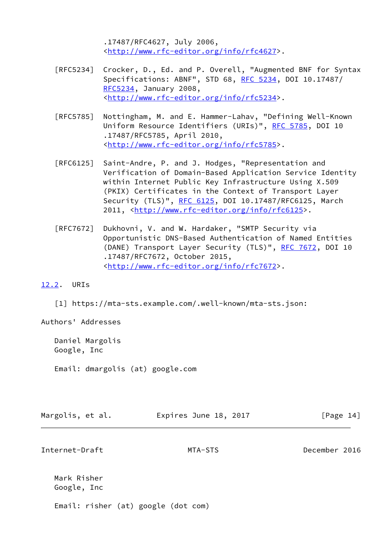.17487/RFC4627, July 2006, <<http://www.rfc-editor.org/info/rfc4627>>.

- [RFC5234] Crocker, D., Ed. and P. Overell, "Augmented BNF for Syntax Specifications: ABNF", STD 68, [RFC 5234](https://datatracker.ietf.org/doc/pdf/rfc5234), DOI 10.17487/ [RFC5234](https://datatracker.ietf.org/doc/pdf/rfc5234), January 2008, <<http://www.rfc-editor.org/info/rfc5234>>.
- [RFC5785] Nottingham, M. and E. Hammer-Lahav, "Defining Well-Known Uniform Resource Identifiers (URIs)", [RFC 5785](https://datatracker.ietf.org/doc/pdf/rfc5785), DOI 10 .17487/RFC5785, April 2010, <<http://www.rfc-editor.org/info/rfc5785>>.
- [RFC6125] Saint-Andre, P. and J. Hodges, "Representation and Verification of Domain-Based Application Service Identity within Internet Public Key Infrastructure Using X.509 (PKIX) Certificates in the Context of Transport Layer Security (TLS)", [RFC 6125,](https://datatracker.ietf.org/doc/pdf/rfc6125) DOI 10.17487/RFC6125, March 2011, [<http://www.rfc-editor.org/info/rfc6125](http://www.rfc-editor.org/info/rfc6125)>.
- [RFC7672] Dukhovni, V. and W. Hardaker, "SMTP Security via Opportunistic DNS-Based Authentication of Named Entities (DANE) Transport Layer Security (TLS)", [RFC 7672,](https://datatracker.ietf.org/doc/pdf/rfc7672) DOI 10 .17487/RFC7672, October 2015, <<http://www.rfc-editor.org/info/rfc7672>>.

<span id="page-15-0"></span>[12.2](#page-15-0). URIs

<span id="page-15-1"></span>[1] https://mta-sts.example.com/.well-known/mta-sts.json:

Authors' Addresses

 Daniel Margolis Google, Inc

Email: dmargolis (at) google.com

| Margolis, et al. | Expires June 18, 2017 |  | [Page 14] |  |
|------------------|-----------------------|--|-----------|--|
|                  |                       |  |           |  |

Internet-Draft MTA-STS December 2016

 Mark Risher Google, Inc

Email: risher (at) google (dot com)